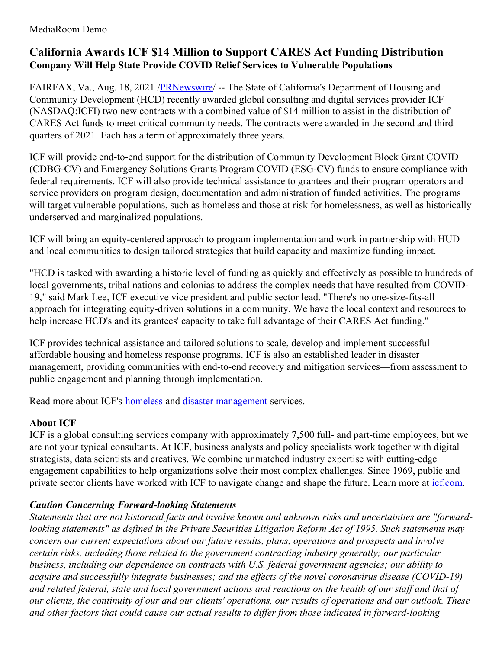## **California Awards ICF \$14 Million to Support CARES Act Funding Distribution Company Will Help State Provide COVID Relief Services to Vulnerable Populations**

FAIRFAX, Va., Aug. 18, 2021 /**PRNewswire/** -- The State of California's Department of Housing and Community Development (HCD) recently awarded global consulting and digital services provider ICF (NASDAQ:ICFI) two new contracts with a combined value of \$14 million to assist in the distribution of CARES Act funds to meet critical community needs. The contracts were awarded in the second and third quarters of 2021. Each has a term of approximately three years.

ICF will provide end-to-end support for the distribution of Community Development Block Grant COVID (CDBG-CV) and Emergency Solutions Grants Program COVID (ESG-CV) funds to ensure compliance with federal requirements. ICF will also provide technical assistance to grantees and their program operators and service providers on program design, documentation and administration of funded activities. The programs will target vulnerable populations, such as homeless and those at risk for homelessness, as well as historically underserved and marginalized populations.

ICF will bring an equity-centered approach to program implementation and work in partnership with HUD and local communities to design tailored strategies that build capacity and maximize funding impact.

"HCD is tasked with awarding a historic level of funding as quickly and effectively as possible to hundreds of local governments, tribal nations and colonias to address the complex needs that have resulted from COVID-19," said Mark Lee, ICF executive vice president and public sector lead. "There's no one-size-fits-all approach for integrating equity-driven solutions in a community. We have the local context and resources to help increase HCD's and its grantees' capacity to take full advantage of their CARES Act funding."

ICF provides technical assistance and tailored solutions to scale, develop and implement successful affordable housing and homeless response programs. ICF is also an established leader in disaster management, providing communities with end-to-end recovery and mitigation services—from assessment to public engagement and planning through implementation.

Read more about ICF's **[homeless](https://c212.net/c/link/?t=0&l=en&o=3263717-1&h=2618614695&u=https%3A%2F%2Fwww.icf.com%2Fwork%2Fsocial-programs&a=homeless)** and **disaster [management](https://c212.net/c/link/?t=0&l=en&o=3263717-1&h=2927822881&u=https%3A%2F%2Fwww.icf.com%2Fwork%2Fdisaster-management&a=disaster+management)** services.

## **About ICF**

ICF is a global consulting services company with approximately 7,500 full- and part-time employees, but we are not your typical consultants. At ICF, business analysts and policy specialists work together with digital strategists, data scientists and creatives. We combine unmatched industry expertise with cutting-edge engagement capabilities to help organizations solve their most complex challenges. Since 1969, public and private sector clients have worked with ICF to navigate change and shape the future. Learn more at [icf.com](https://c212.net/c/link/?t=0&l=en&o=3263717-1&h=3629504035&u=https%3A%2F%2Fwww.icf.com%2F&a=icf.com).

## *Caution Concerning Forward-looking Statements*

*Statements that are not historical facts and involve known and unknown risks and uncertainties are "forwardlooking statements" as defined in the Private Securities Litigation Reform Act of 1995. Such statements may concern our current expectations about our future results, plans, operations and prospects and involve certain risks, including those related to the government contracting industry generally; our particular business, including our dependence on contracts with U.S. federal government agencies; our ability to acquire and successfully integrate businesses; and the ef ects of the novel coronavirus disease (COVID-19)* and related federal, state and local government actions and reactions on the health of our staff and that of our clients, the continuity of our and our clients' operations, our results of operations and our outlook. These *and other factors that could cause our actual results to dif er from those indicated in forward-looking*